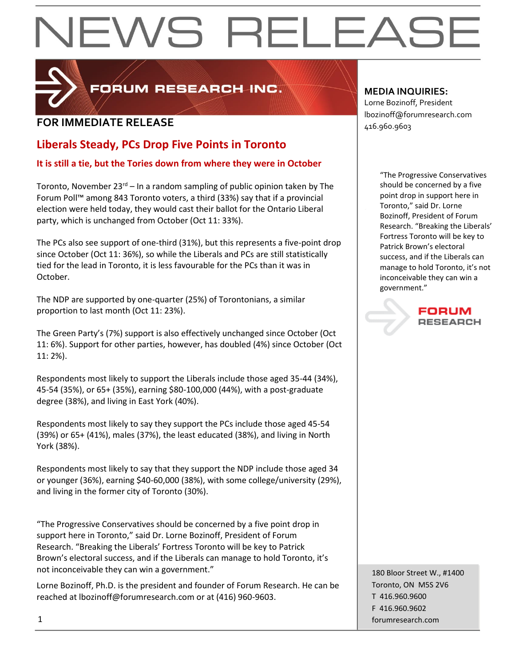# EWS RELEAS



PORUM RESEARCH INC.

## **FOR IMMEDIATE RELEASE**  $\begin{bmatrix} 1.52 \ 416.960.9603 \end{bmatrix}$

### **Liberals Steady, PCs Drop Five Points in Toronto**

### **It is still a tie, but the Tories down from where they were in October**

Toronto, November  $23^{rd}$  – In a random sampling of public opinion taken by The Forum Poll™ among 843 Toronto voters, a third (33%) say that if a provincial election were held today, they would cast their ballot for the Ontario Liberal party, which is unchanged from October (Oct 11: 33%).

The PCs also see support of one-third (31%), but this represents a five-point drop since October (Oct 11: 36%), so while the Liberals and PCs are still statistically tied for the lead in Toronto, it is less favourable for the PCs than it was in October.

The NDP are supported by one-quarter (25%) of Torontonians, a similar proportion to last month (Oct 11: 23%).

The Green Party's (7%) support is also effectively unchanged since October (Oct 11: 6%). Support for other parties, however, has doubled (4%) since October (Oct 11: 2%).

Respondents most likely to support the Liberals include those aged 35-44 (34%), 45-54 (35%), or 65+ (35%), earning \$80-100,000 (44%), with a post-graduate degree (38%), and living in East York (40%).

Respondents most likely to say they support the PCs include those aged 45-54 (39%) or 65+ (41%), males (37%), the least educated (38%), and living in North York (38%).

Respondents most likely to say that they support the NDP include those aged 34 or younger (36%), earning \$40-60,000 (38%), with some college/university (29%), and living in the former city of Toronto (30%).

"The Progressive Conservatives should be concerned by a five point drop in support here in Toronto," said Dr. Lorne Bozinoff, President of Forum Research. "Breaking the Liberals' Fortress Toronto will be key to Patrick Brown's electoral success, and if the Liberals can manage to hold Toronto, it's not inconceivable they can win a government."

Lorne Bozinoff, Ph.D. is the president and founder of Forum Research. He can be reached at lbozinoff@forumresearch.com or at (416) 960-9603.

### **MEDIA INQUIRIES:**

Lorne Bozinoff, President lbozinoff@forumresearch.com

> "The Progressive Conservatives should be concerned by a five point drop in support here in Toronto," said Dr. Lorne Bozinoff, President of Forum Research. "Breaking the Liberals' Fortress Toronto will be key to Patrick Brown's electoral success, and if the Liberals can manage to hold Toronto, it's not inconceivable they can win a government."

> > FORUM **RESEARCH**

180 Bloor Street W., #1400 Toronto, ON M5S 2V6 T 416.960.9600 F 416.960.9602 1 forumresearch.com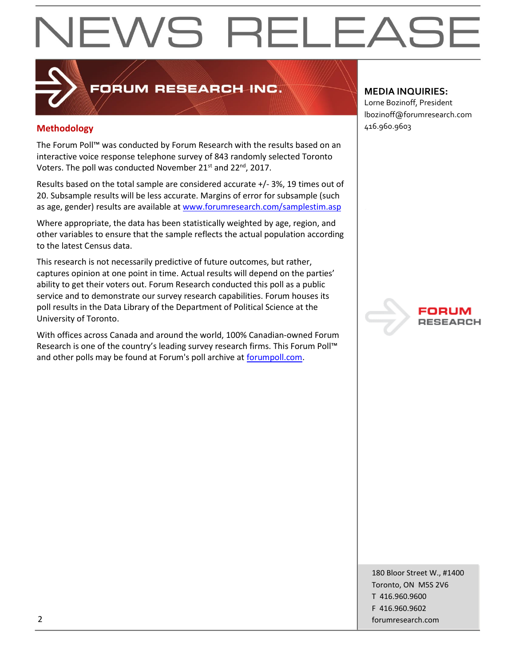# EWS RELEAS

# FORUM RESEARCH INC.

### **Methodology** 416.960.9603

The Forum Poll™ was conducted by Forum Research with the results based on an interactive voice response telephone survey of 843 randomly selected Toronto Voters. The poll was conducted November 21 $^{\text{st}}$  and 22 $^{\text{nd}}$ , 2017.

Results based on the total sample are considered accurate +/- 3%, 19 times out of 20. Subsample results will be less accurate. Margins of error for subsample (such as age, gender) results are available at [www.forumresearch.com/samplestim.asp](http://www.forumresearch.com/samplestim.asp)

Where appropriate, the data has been statistically weighted by age, region, and other variables to ensure that the sample reflects the actual population according to the latest Census data.

This research is not necessarily predictive of future outcomes, but rather, captures opinion at one point in time. Actual results will depend on the parties' ability to get their voters out. Forum Research conducted this poll as a public service and to demonstrate our survey research capabilities. Forum houses its poll results in the Data Library of the Department of Political Science at the University of Toronto.

With offices across Canada and around the world, 100% Canadian-owned Forum Research is one of the country's leading survey research firms. This Forum Poll™ and other polls may be found at Forum's poll archive at [forumpoll.com.](file:///C:/Users/gmilakovic/Dropbox/Forum%20Poll%20Temporary/2017/November/TO/Releases/forumpoll.com)

#### **MEDIA INQUIRIES:**

Lorne Bozinoff, President lbozinoff@forumresearch.com



180 Bloor Street W., #1400 Toronto, ON M5S 2V6 T 416.960.9600 F 416.960.9602 2 forumresearch.com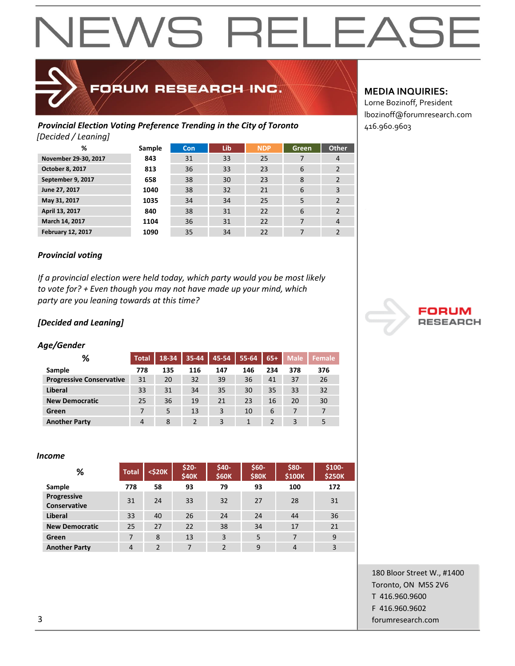# EWS RELEAS

## FORUM RESEARCH INC.

#### **Provincial Election Voting Preference Trending in the City of Toronto**  $|416.960.9603$ *[Decided / Leaning]*

| %                        | Sample | <b>Con</b> | Lib | <b>NDP</b> | Green          | <b>Other</b>             |
|--------------------------|--------|------------|-----|------------|----------------|--------------------------|
| November 29-30, 2017     | 843    | 31         | 33  | 25         | 7              | 4                        |
| October 8, 2017          | 813    | 36         | 33  | 23         | 6              | $\overline{2}$           |
| September 9, 2017        | 658    | 38         | 30  | 23         | 8              | 2                        |
| June 27, 2017            | 1040   | 38         | 32  | 21         | 6              | 3                        |
| May 31, 2017             | 1035   | 34         | 34  | 25         | 5              | $\overline{2}$           |
| April 13, 2017           | 840    | 38         | 31  | 22         | 6              | $\overline{2}$           |
| March 14, 2017           | 1104   | 36         | 31  | 22         | $\overline{ }$ | $\overline{4}$           |
| <b>February 12, 2017</b> | 1090   | 35         | 34  | 22         | 7              | $\overline{\phantom{a}}$ |

#### **MEDIA INQUIRIES:**

Lorne Bozinoff, President lbozinoff@forumresearch.com

#### *Provincial voting*

*If a provincial election were held today, which party would you be most likely to vote for? + Even though you may not have made up your mind, which party are you leaning towards at this time?*

#### *[Decided and Leaning]*

#### *Age/Gender*

| %                               | <b>Total</b>   | 18-34 | 35-44          | 45-54 | 55-64 | $65+$          | <b>Male</b> | Female         |
|---------------------------------|----------------|-------|----------------|-------|-------|----------------|-------------|----------------|
| Sample                          | 778            | 135   | 116            | 147   | 146   | 234            | 378         | 376            |
| <b>Progressive Conservative</b> | 31             | 20    | 32             | 39    | 36    | 41             | 37          | 26             |
| <b>Liberal</b>                  | 33             | 31    | 34             | 35    | 30    | 35             | 33          | 32             |
| <b>New Democratic</b>           | 25             | 36    | 19             | 21    | 23    | 16             | 20          | 30             |
| Green                           | 7              | 5     | 13             | 3     | 10    | 6              | 7           | $\overline{ }$ |
| <b>Another Party</b>            | $\overline{4}$ | 8     | $\overline{2}$ | 3     |       | $\overline{2}$ | 3           | 5              |

#### *Income*

| %                           | <b>Total</b>   | $<$ \$20 $K$  | $$20-$<br><b>\$40K</b> | \$40-<br><b>\$60K</b> | $$60-$<br><b>\$80K</b> | \$80-<br>\$100K | \$100-<br><b>\$250K</b> |
|-----------------------------|----------------|---------------|------------------------|-----------------------|------------------------|-----------------|-------------------------|
| Sample                      | 778            | 58            | 93                     | 79                    | 93                     | 100             | 172                     |
| Progressive<br>Conservative | 31             | 24            | 33                     | 32                    | 27                     | 28              | 31                      |
| Liberal                     | 33             | 40            | 26                     | 24                    | 24                     | 44              | 36                      |
| <b>New Democratic</b>       | 25             | 27            | 22                     | 38                    | 34                     | 17              | 21                      |
| Green                       | 7              | 8             | 13                     | 3                     | 5                      | 7               | 9                       |
| <b>Another Party</b>        | $\overline{4}$ | $\mathcal{P}$ | 7                      | $\mathcal{P}$         | 9                      | $\overline{4}$  | 3                       |



180 Bloor Street W., #1400 Toronto, ON M5S 2V6 T 416.960.9600 F 416.960.9602 3 forumresearch.com